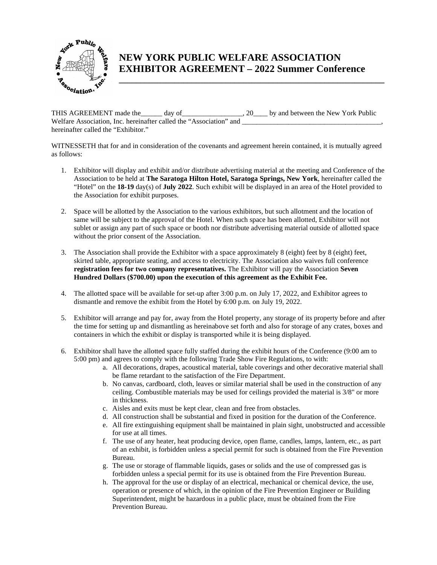

## **NEW YORK PUBLIC WELFARE ASSOCIATION EXHIBITOR AGREEMENT – 2022 Summer Conference**

**\_\_\_\_\_\_\_\_\_\_\_\_\_\_\_\_\_\_\_\_\_\_\_\_\_\_\_\_\_\_\_\_\_\_\_\_\_\_\_\_\_\_\_\_\_\_\_\_\_\_\_\_\_\_\_\_\_\_\_\_\_\_** 

THIS AGREEMENT made the \_\_\_\_\_ day of \_\_\_\_\_\_\_\_\_\_\_\_\_\_\_\_, 20\_\_\_\_ by and between the New York Public Welfare Association, Inc. hereinafter called the "Association" and hereinafter called the "Exhibitor."

WITNESSETH that for and in consideration of the covenants and agreement herein contained, it is mutually agreed as follows:

- 1. Exhibitor will display and exhibit and/or distribute advertising material at the meeting and Conference of the Association to be held at **The Saratoga Hilton Hotel, Saratoga Springs, New York**, hereinafter called the "Hotel" on the **18-19** day(s) of **July 2022**. Such exhibit will be displayed in an area of the Hotel provided to the Association for exhibit purposes.
- 2. Space will be allotted by the Association to the various exhibitors, but such allotment and the location of same will be subject to the approval of the Hotel. When such space has been allotted, Exhibitor will not sublet or assign any part of such space or booth nor distribute advertising material outside of allotted space without the prior consent of the Association.
- 3. The Association shall provide the Exhibitor with a space approximately 8 (eight) feet by 8 (eight) feet, skirted table, appropriate seating, and access to electricity. The Association also waives full conference **registration fees for two company representatives.** The Exhibitor will pay the Association **Seven Hundred Dollars (\$700.00) upon the execution of this agreement as the Exhibit Fee.**
- 4. The allotted space will be available for set-up after 3:00 p.m. on July 17, 2022, and Exhibitor agrees to dismantle and remove the exhibit from the Hotel by 6:00 p.m. on July 19, 2022.
- 5. Exhibitor will arrange and pay for, away from the Hotel property, any storage of its property before and after the time for setting up and dismantling as hereinabove set forth and also for storage of any crates, boxes and containers in which the exhibit or display is transported while it is being displayed.
- 6. Exhibitor shall have the allotted space fully staffed during the exhibit hours of the Conference (9:00 am to 5:00 pm) and agrees to comply with the following Trade Show Fire Regulations, to with:
	- a. All decorations, drapes, acoustical material, table coverings and other decorative material shall be flame retardant to the satisfaction of the Fire Department.
	- b. No canvas, cardboard, cloth, leaves or similar material shall be used in the construction of any ceiling. Combustible materials may be used for ceilings provided the material is 3/8" or more in thickness.
	- c. Aisles and exits must be kept clear, clean and free from obstacles.
	- d. All construction shall be substantial and fixed in position for the duration of the Conference.
	- e. All fire extinguishing equipment shall be maintained in plain sight, unobstructed and accessible for use at all times.
	- f. The use of any heater, heat producing device, open flame, candles, lamps, lantern, etc., as part of an exhibit, is forbidden unless a special permit for such is obtained from the Fire Prevention Bureau.
	- g. The use or storage of flammable liquids, gases or solids and the use of compressed gas is forbidden unless a special permit for its use is obtained from the Fire Prevention Bureau.
	- h. The approval for the use or display of an electrical, mechanical or chemical device, the use, operation or presence of which, in the opinion of the Fire Prevention Engineer or Building Superintendent, might be hazardous in a public place, must be obtained from the Fire Prevention Bureau.